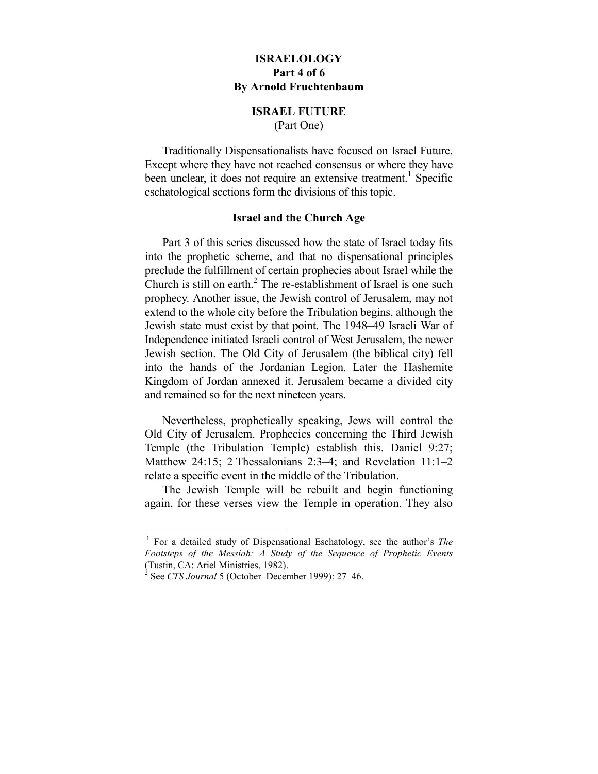# **ISRAELOLOGY Part 4 of 6 By Arnold Fruchtenbaum**

#### **ISRAEL FUTURE**  (Part One)

Traditionally Dispensationalists have focused on Israel Future. Except where they have not reached consensus or where they have been unclear, it does not require an extensive treatment.<sup>1</sup> Specific eschatological sections form the divisions of this topic.

## **Israel and the Church Age**

Part 3 of this series discussed how the state of Israel today fits into the prophetic scheme, and that no dispensational principles preclude the fulfillment of certain prophecies about Israel while the Church is still on earth. $2$  The re-establishment of Israel is one such prophecy. Another issue, the Jewish control of Jerusalem, may not extend to the whole city before the Tribulation begins, although the Jewish state must exist by that point. The 1948–49 Israeli War of Independence initiated Israeli control of West Jerusalem, the newer Jewish section. The Old City of Jerusalem (the biblical city) fell into the hands of the Jordanian Legion. Later the Hashemite Kingdom of Jordan annexed it. Jerusalem became a divided city and remained so for the next nineteen years.

Nevertheless, prophetically speaking, Jews will control the Old City of Jerusalem. Prophecies concerning the Third Jewish Temple (the Tribulation Temple) establish this. Daniel 9:27; Matthew 24:15; 2 Thessalonians 2:3–4; and Revelation 11:1–2 relate a specific event in the middle of the Tribulation.

The Jewish Temple will be rebuilt and begin functioning again, for these verses view the Temple in operation. They also

 <sup>1</sup> For a detailed study of Dispensational Eschatology, see the author's *The Footsteps of the Messiah: A Study of the Sequence of Prophetic Events* (Tustin, CA: Ariel Ministries, 1982).

<sup>2</sup> See *CTS Journal* 5 (October–December 1999): 27–46.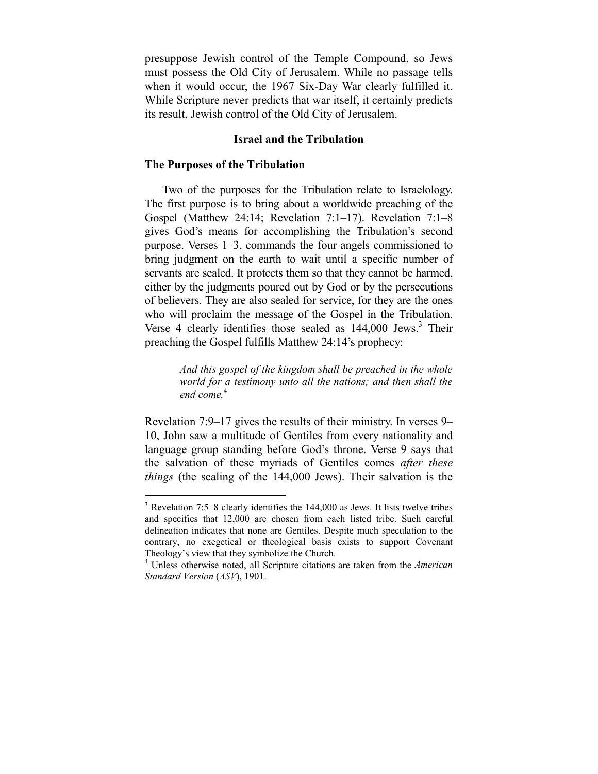presuppose Jewish control of the Temple Compound, so Jews must possess the Old City of Jerusalem. While no passage tells when it would occur, the 1967 Six-Day War clearly fulfilled it. While Scripture never predicts that war itself, it certainly predicts its result, Jewish control of the Old City of Jerusalem.

## **Israel and the Tribulation**

#### **The Purposes of the Tribulation**

1

Two of the purposes for the Tribulation relate to Israelology. The first purpose is to bring about a worldwide preaching of the Gospel (Matthew 24:14; Revelation 7:1–17). Revelation 7:1–8 gives God's means for accomplishing the Tribulation's second purpose. Verses 1–3, commands the four angels commissioned to bring judgment on the earth to wait until a specific number of servants are sealed. It protects them so that they cannot be harmed, either by the judgments poured out by God or by the persecutions of believers. They are also sealed for service, for they are the ones who will proclaim the message of the Gospel in the Tribulation. Verse 4 clearly identifies those sealed as 144,000 Jews.<sup>3</sup> Their preaching the Gospel fulfills Matthew 24:14's prophecy:

> *And this gospel of the kingdom shall be preached in the whole world for a testimony unto all the nations; and then shall the end come.*<sup>4</sup>

Revelation 7:9–17 gives the results of their ministry. In verses 9– 10, John saw a multitude of Gentiles from every nationality and language group standing before God's throne. Verse 9 says that the salvation of these myriads of Gentiles comes *after these things* (the sealing of the 144,000 Jews). Their salvation is the

 $3$  Revelation 7:5–8 clearly identifies the 144,000 as Jews. It lists twelve tribes and specifies that 12,000 are chosen from each listed tribe. Such careful delineation indicates that none are Gentiles. Despite much speculation to the contrary, no exegetical or theological basis exists to support Covenant Theology's view that they symbolize the Church.

<sup>4</sup> Unless otherwise noted, all Scripture citations are taken from the *American Standard Version* (*ASV*), 1901.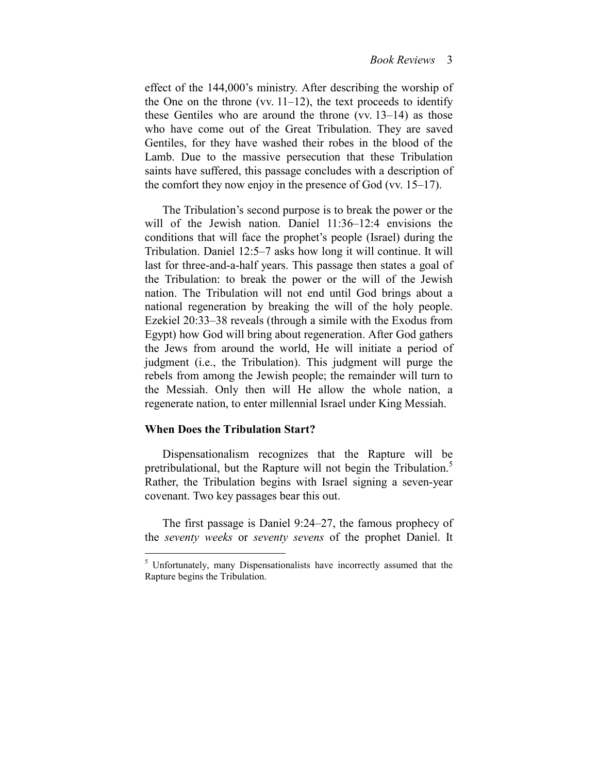effect of the 144,000's ministry. After describing the worship of the One on the throne (vv.  $11-12$ ), the text proceeds to identify these Gentiles who are around the throne (vv. 13–14) as those who have come out of the Great Tribulation. They are saved Gentiles, for they have washed their robes in the blood of the Lamb. Due to the massive persecution that these Tribulation saints have suffered, this passage concludes with a description of the comfort they now enjoy in the presence of God (vv. 15–17).

The Tribulation's second purpose is to break the power or the will of the Jewish nation. Daniel 11:36–12:4 envisions the conditions that will face the prophet's people (Israel) during the Tribulation. Daniel 12:5–7 asks how long it will continue. It will last for three-and-a-half years. This passage then states a goal of the Tribulation: to break the power or the will of the Jewish nation. The Tribulation will not end until God brings about a national regeneration by breaking the will of the holy people. Ezekiel 20:33–38 reveals (through a simile with the Exodus from Egypt) how God will bring about regeneration. After God gathers the Jews from around the world, He will initiate a period of judgment (i.e., the Tribulation). This judgment will purge the rebels from among the Jewish people; the remainder will turn to the Messiah. Only then will He allow the whole nation, a regenerate nation, to enter millennial Israel under King Messiah.

#### **When Does the Tribulation Start?**

1

Dispensationalism recognizes that the Rapture will be pretribulational, but the Rapture will not begin the Tribulation.<sup>5</sup> Rather, the Tribulation begins with Israel signing a seven-year covenant. Two key passages bear this out.

The first passage is Daniel 9:24–27, the famous prophecy of the *seventy weeks* or *seventy sevens* of the prophet Daniel. It

<sup>&</sup>lt;sup>5</sup> Unfortunately, many Dispensationalists have incorrectly assumed that the Rapture begins the Tribulation.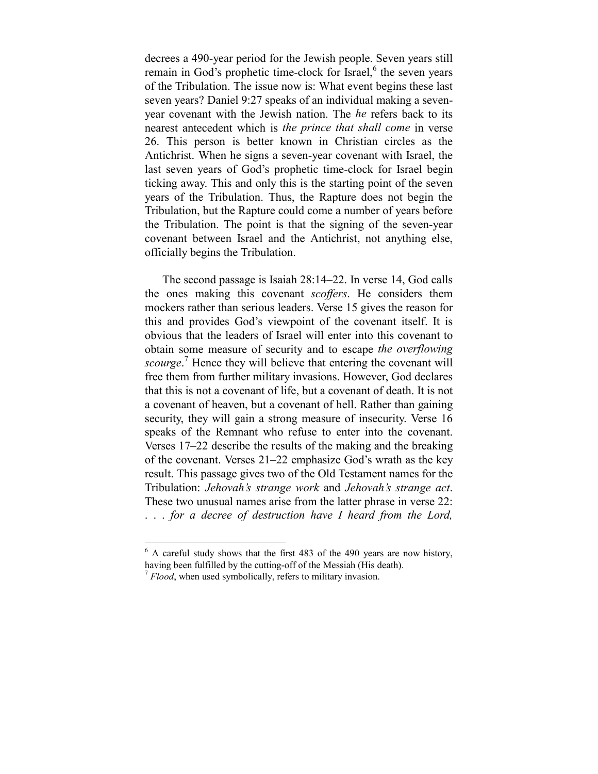decrees a 490-year period for the Jewish people. Seven years still remain in God's prophetic time-clock for Israel,<sup>6</sup> the seven years of the Tribulation. The issue now is: What event begins these last seven years? Daniel 9:27 speaks of an individual making a sevenyear covenant with the Jewish nation. The *he* refers back to its nearest antecedent which is *the prince that shall come* in verse 26. This person is better known in Christian circles as the Antichrist. When he signs a seven-year covenant with Israel, the last seven years of God's prophetic time-clock for Israel begin ticking away. This and only this is the starting point of the seven years of the Tribulation. Thus, the Rapture does not begin the Tribulation, but the Rapture could come a number of years before the Tribulation. The point is that the signing of the seven-year covenant between Israel and the Antichrist, not anything else, officially begins the Tribulation.

The second passage is Isaiah 28:14–22. In verse 14, God calls the ones making this covenant *scoffers*. He considers them mockers rather than serious leaders. Verse 15 gives the reason for this and provides God's viewpoint of the covenant itself. It is obvious that the leaders of Israel will enter into this covenant to obtain some measure of security and to escape *the overflowing*  scourge.<sup>7</sup> Hence they will believe that entering the covenant will free them from further military invasions. However, God declares that this is not a covenant of life, but a covenant of death. It is not a covenant of heaven, but a covenant of hell. Rather than gaining security, they will gain a strong measure of insecurity. Verse 16 speaks of the Remnant who refuse to enter into the covenant. Verses 17–22 describe the results of the making and the breaking of the covenant. Verses 21–22 emphasize God's wrath as the key result. This passage gives two of the Old Testament names for the Tribulation: *Jehovah's strange work* and *Jehovah's strange act*. These two unusual names arise from the latter phrase in verse 22: . . . *for a decree of destruction have I heard from the Lord,* 

 $6$  A careful study shows that the first 483 of the 490 years are now history, having been fulfilled by the cutting-off of the Messiah (His death).

<sup>&</sup>lt;sup>7</sup> *Flood*, when used symbolically, refers to military invasion.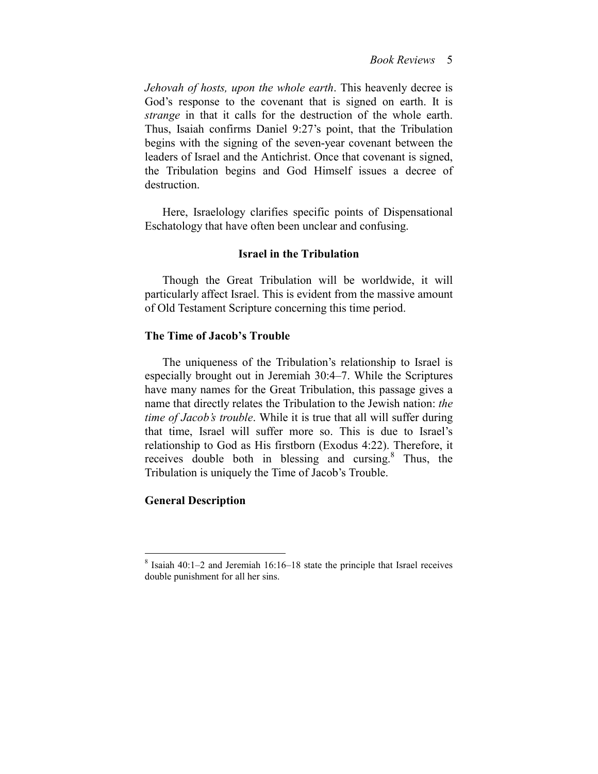*Jehovah of hosts, upon the whole earth*. This heavenly decree is God's response to the covenant that is signed on earth. It is *strange* in that it calls for the destruction of the whole earth. Thus, Isaiah confirms Daniel 9:27's point, that the Tribulation begins with the signing of the seven-year covenant between the leaders of Israel and the Antichrist. Once that covenant is signed, the Tribulation begins and God Himself issues a decree of destruction.

Here, Israelology clarifies specific points of Dispensational Eschatology that have often been unclear and confusing.

## **Israel in the Tribulation**

Though the Great Tribulation will be worldwide, it will particularly affect Israel. This is evident from the massive amount of Old Testament Scripture concerning this time period.

## **The Time of Jacob's Trouble**

The uniqueness of the Tribulation's relationship to Israel is especially brought out in Jeremiah 30:4–7. While the Scriptures have many names for the Great Tribulation, this passage gives a name that directly relates the Tribulation to the Jewish nation: *the time of Jacob's trouble*. While it is true that all will suffer during that time, Israel will suffer more so. This is due to Israel's relationship to God as His firstborn (Exodus 4:22). Therefore, it receives double both in blessing and cursing.<sup>8</sup> Thus, the Tribulation is uniquely the Time of Jacob's Trouble.

## **General Description**

<sup>8</sup> Isaiah 40:1–2 and Jeremiah 16:16–18 state the principle that Israel receives double punishment for all her sins.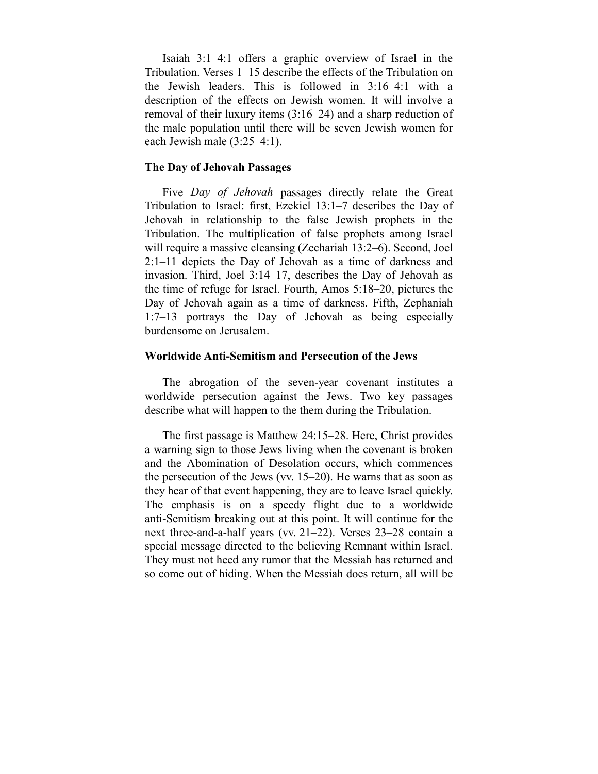Isaiah 3:1–4:1 offers a graphic overview of Israel in the Tribulation. Verses 1–15 describe the effects of the Tribulation on the Jewish leaders. This is followed in 3:16–4:1 with a description of the effects on Jewish women. It will involve a removal of their luxury items (3:16–24) and a sharp reduction of the male population until there will be seven Jewish women for each Jewish male (3:25–4:1).

## **The Day of Jehovah Passages**

Five *Day of Jehovah* passages directly relate the Great Tribulation to Israel: first, Ezekiel 13:1–7 describes the Day of Jehovah in relationship to the false Jewish prophets in the Tribulation. The multiplication of false prophets among Israel will require a massive cleansing (Zechariah 13:2–6). Second, Joel 2:1–11 depicts the Day of Jehovah as a time of darkness and invasion. Third, Joel 3:14–17, describes the Day of Jehovah as the time of refuge for Israel. Fourth, Amos 5:18–20, pictures the Day of Jehovah again as a time of darkness. Fifth, Zephaniah 1:7–13 portrays the Day of Jehovah as being especially burdensome on Jerusalem.

#### **Worldwide Anti-Semitism and Persecution of the Jews**

The abrogation of the seven-year covenant institutes a worldwide persecution against the Jews. Two key passages describe what will happen to the them during the Tribulation.

The first passage is Matthew 24:15–28. Here, Christ provides a warning sign to those Jews living when the covenant is broken and the Abomination of Desolation occurs, which commences the persecution of the Jews (vv. 15–20). He warns that as soon as they hear of that event happening, they are to leave Israel quickly. The emphasis is on a speedy flight due to a worldwide anti-Semitism breaking out at this point. It will continue for the next three-and-a-half years (vv. 21–22). Verses 23–28 contain a special message directed to the believing Remnant within Israel. They must not heed any rumor that the Messiah has returned and so come out of hiding. When the Messiah does return, all will be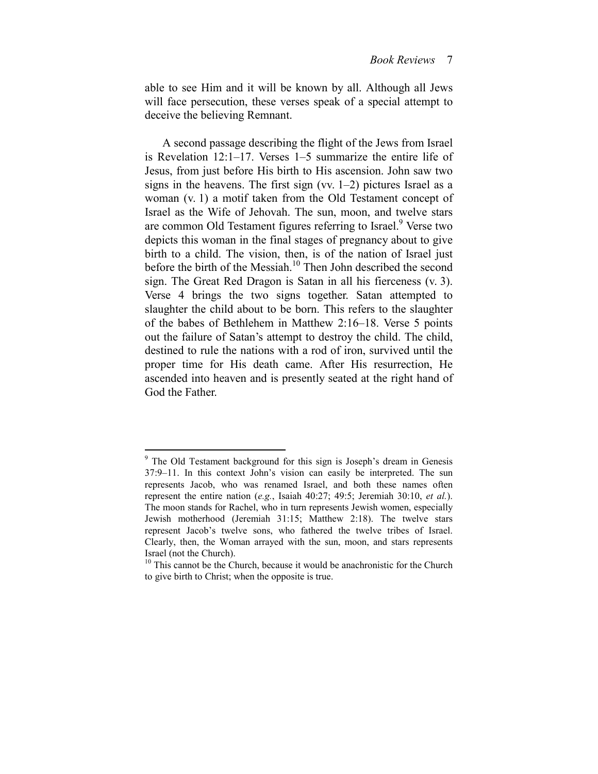able to see Him and it will be known by all. Although all Jews will face persecution, these verses speak of a special attempt to deceive the believing Remnant.

A second passage describing the flight of the Jews from Israel is Revelation 12:1–17. Verses 1–5 summarize the entire life of Jesus, from just before His birth to His ascension. John saw two signs in the heavens. The first sign (vv.  $1-2$ ) pictures Israel as a woman (v. 1) a motif taken from the Old Testament concept of Israel as the Wife of Jehovah. The sun, moon, and twelve stars are common Old Testament figures referring to Israel.<sup>9</sup> Verse two depicts this woman in the final stages of pregnancy about to give birth to a child. The vision, then, is of the nation of Israel just before the birth of the Messiah.<sup>10</sup> Then John described the second sign. The Great Red Dragon is Satan in all his fierceness (v. 3). Verse 4 brings the two signs together. Satan attempted to slaughter the child about to be born. This refers to the slaughter of the babes of Bethlehem in Matthew 2:16–18. Verse 5 points out the failure of Satan's attempt to destroy the child. The child, destined to rule the nations with a rod of iron, survived until the proper time for His death came. After His resurrection, He ascended into heaven and is presently seated at the right hand of God the Father.

<sup>&</sup>lt;sup>9</sup> The Old Testament background for this sign is Joseph's dream in Genesis 37:9–11. In this context John's vision can easily be interpreted. The sun represents Jacob, who was renamed Israel, and both these names often represent the entire nation (*e.g.*, Isaiah 40:27; 49:5; Jeremiah 30:10, *et al.*). The moon stands for Rachel, who in turn represents Jewish women, especially Jewish motherhood (Jeremiah 31:15; Matthew 2:18). The twelve stars represent Jacob's twelve sons, who fathered the twelve tribes of Israel. Clearly, then, the Woman arrayed with the sun, moon, and stars represents Israel (not the Church).

 $10$  This cannot be the Church, because it would be anachronistic for the Church to give birth to Christ; when the opposite is true.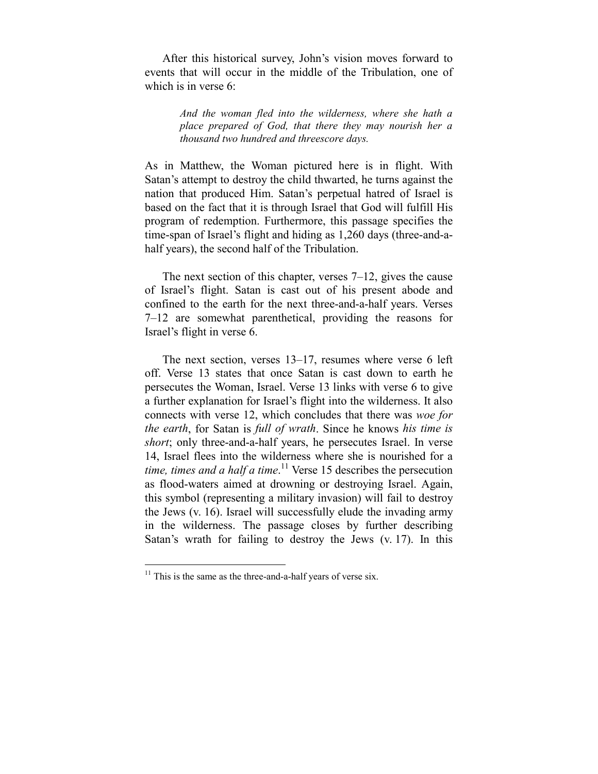After this historical survey, John's vision moves forward to events that will occur in the middle of the Tribulation, one of which is in verse 6:

> *And the woman fled into the wilderness, where she hath a place prepared of God, that there they may nourish her a thousand two hundred and threescore days.*

As in Matthew, the Woman pictured here is in flight. With Satan's attempt to destroy the child thwarted, he turns against the nation that produced Him. Satan's perpetual hatred of Israel is based on the fact that it is through Israel that God will fulfill His program of redemption. Furthermore, this passage specifies the time-span of Israel's flight and hiding as 1,260 days (three-and-ahalf years), the second half of the Tribulation.

The next section of this chapter, verses 7–12, gives the cause of Israel's flight. Satan is cast out of his present abode and confined to the earth for the next three-and-a-half years. Verses 7–12 are somewhat parenthetical, providing the reasons for Israel's flight in verse 6.

The next section, verses 13–17, resumes where verse 6 left off. Verse 13 states that once Satan is cast down to earth he persecutes the Woman, Israel. Verse 13 links with verse 6 to give a further explanation for Israel's flight into the wilderness. It also connects with verse 12, which concludes that there was *woe for the earth*, for Satan is *full of wrath*. Since he knows *his time is short*; only three-and-a-half years, he persecutes Israel. In verse 14, Israel flees into the wilderness where she is nourished for a *time, times and a half a time*. 11 Verse 15 describes the persecution as flood-waters aimed at drowning or destroying Israel. Again, this symbol (representing a military invasion) will fail to destroy the Jews (v. 16). Israel will successfully elude the invading army in the wilderness. The passage closes by further describing Satan's wrath for failing to destroy the Jews (v. 17). In this

<u>.</u>

 $11$  This is the same as the three-and-a-half years of verse six.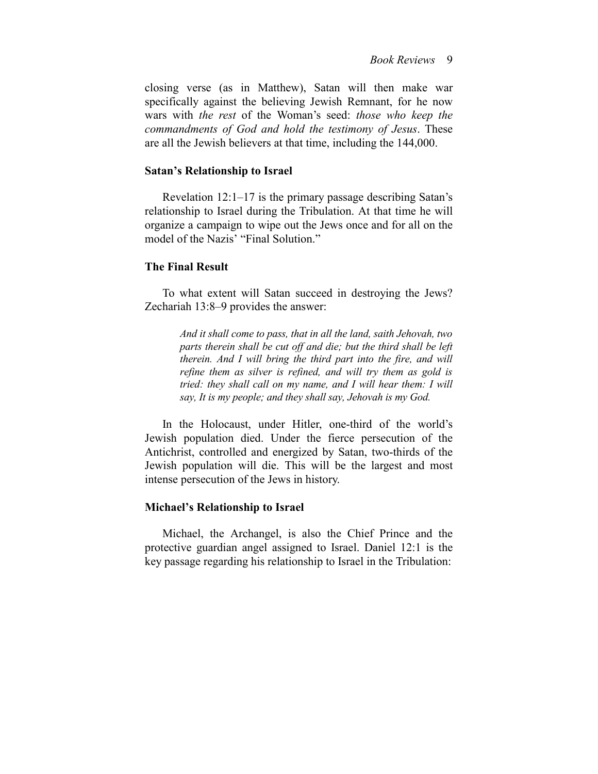closing verse (as in Matthew), Satan will then make war specifically against the believing Jewish Remnant, for he now wars with *the rest* of the Woman's seed: *those who keep the commandments of God and hold the testimony of Jesus*. These are all the Jewish believers at that time, including the 144,000.

#### **Satan's Relationship to Israel**

Revelation 12:1–17 is the primary passage describing Satan's relationship to Israel during the Tribulation. At that time he will organize a campaign to wipe out the Jews once and for all on the model of the Nazis' "Final Solution."

## **The Final Result**

To what extent will Satan succeed in destroying the Jews? Zechariah 13:8–9 provides the answer:

> *And it shall come to pass, that in all the land, saith Jehovah, two parts therein shall be cut off and die; but the third shall be left therein. And I will bring the third part into the fire, and will refine them as silver is refined, and will try them as gold is tried: they shall call on my name, and I will hear them: I will say, It is my people; and they shall say, Jehovah is my God.*

In the Holocaust, under Hitler, one-third of the world's Jewish population died. Under the fierce persecution of the Antichrist, controlled and energized by Satan, two-thirds of the Jewish population will die. This will be the largest and most intense persecution of the Jews in history.

#### **Michael's Relationship to Israel**

Michael, the Archangel, is also the Chief Prince and the protective guardian angel assigned to Israel. Daniel 12:1 is the key passage regarding his relationship to Israel in the Tribulation: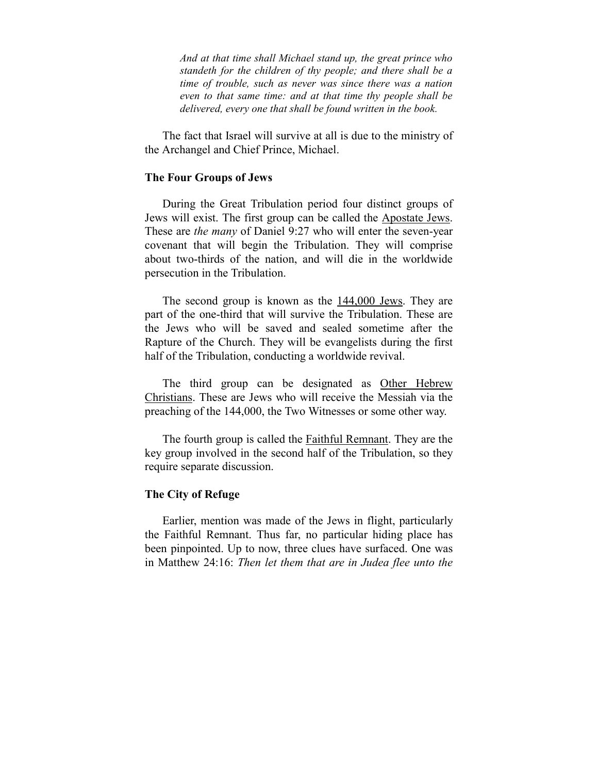*And at that time shall Michael stand up, the great prince who standeth for the children of thy people; and there shall be a time of trouble, such as never was since there was a nation even to that same time: and at that time thy people shall be delivered, every one that shall be found written in the book.* 

The fact that Israel will survive at all is due to the ministry of the Archangel and Chief Prince, Michael.

#### **The Four Groups of Jews**

During the Great Tribulation period four distinct groups of Jews will exist. The first group can be called the Apostate Jews. These are *the many* of Daniel 9:27 who will enter the seven-year covenant that will begin the Tribulation. They will comprise about two-thirds of the nation, and will die in the worldwide persecution in the Tribulation.

The second group is known as the 144,000 Jews. They are part of the one-third that will survive the Tribulation. These are the Jews who will be saved and sealed sometime after the Rapture of the Church. They will be evangelists during the first half of the Tribulation, conducting a worldwide revival.

The third group can be designated as Other Hebrew Christians. These are Jews who will receive the Messiah via the preaching of the 144,000, the Two Witnesses or some other way.

The fourth group is called the Faithful Remnant. They are the key group involved in the second half of the Tribulation, so they require separate discussion.

### **The City of Refuge**

Earlier, mention was made of the Jews in flight, particularly the Faithful Remnant. Thus far, no particular hiding place has been pinpointed. Up to now, three clues have surfaced. One was in Matthew 24:16: *Then let them that are in Judea flee unto the*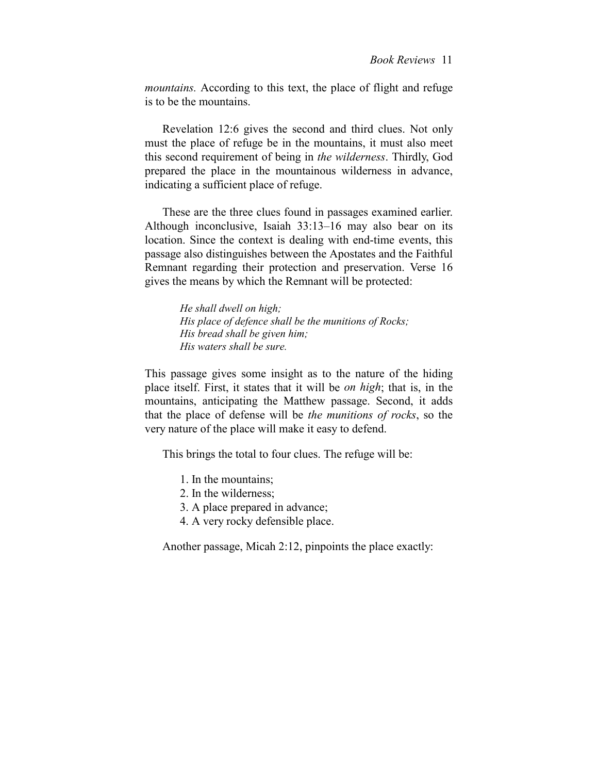*mountains.* According to this text, the place of flight and refuge is to be the mountains.

Revelation 12:6 gives the second and third clues. Not only must the place of refuge be in the mountains, it must also meet this second requirement of being in *the wilderness*. Thirdly, God prepared the place in the mountainous wilderness in advance, indicating a sufficient place of refuge.

These are the three clues found in passages examined earlier. Although inconclusive, Isaiah 33:13–16 may also bear on its location. Since the context is dealing with end-time events, this passage also distinguishes between the Apostates and the Faithful Remnant regarding their protection and preservation. Verse 16 gives the means by which the Remnant will be protected:

> *He shall dwell on high; His place of defence shall be the munitions of Rocks; His bread shall be given him; His waters shall be sure.*

This passage gives some insight as to the nature of the hiding place itself. First, it states that it will be *on high*; that is, in the mountains, anticipating the Matthew passage. Second, it adds that the place of defense will be *the munitions of rocks*, so the very nature of the place will make it easy to defend.

This brings the total to four clues. The refuge will be:

- 1. In the mountains;
- 2. In the wilderness;
- 3. A place prepared in advance;
- 4. A very rocky defensible place.

Another passage, Micah 2:12, pinpoints the place exactly: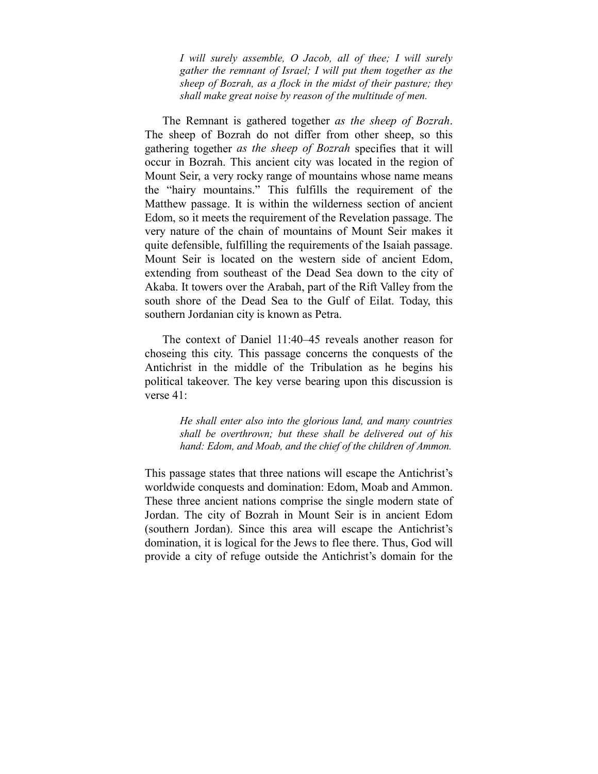*I will surely assemble, O Jacob, all of thee; I will surely gather the remnant of Israel; I will put them together as the sheep of Bozrah, as a flock in the midst of their pasture; they shall make great noise by reason of the multitude of men.* 

The Remnant is gathered together *as the sheep of Bozrah*. The sheep of Bozrah do not differ from other sheep, so this gathering together *as the sheep of Bozrah* specifies that it will occur in Bozrah. This ancient city was located in the region of Mount Seir, a very rocky range of mountains whose name means the "hairy mountains." This fulfills the requirement of the Matthew passage. It is within the wilderness section of ancient Edom, so it meets the requirement of the Revelation passage. The very nature of the chain of mountains of Mount Seir makes it quite defensible, fulfilling the requirements of the Isaiah passage. Mount Seir is located on the western side of ancient Edom, extending from southeast of the Dead Sea down to the city of Akaba. It towers over the Arabah, part of the Rift Valley from the south shore of the Dead Sea to the Gulf of Eilat. Today, this southern Jordanian city is known as Petra.

The context of Daniel 11:40–45 reveals another reason for choseing this city. This passage concerns the conquests of the Antichrist in the middle of the Tribulation as he begins his political takeover. The key verse bearing upon this discussion is verse 41:

> *He shall enter also into the glorious land, and many countries shall be overthrown; but these shall be delivered out of his hand: Edom, and Moab, and the chief of the children of Ammon.*

This passage states that three nations will escape the Antichrist's worldwide conquests and domination: Edom, Moab and Ammon. These three ancient nations comprise the single modern state of Jordan. The city of Bozrah in Mount Seir is in ancient Edom (southern Jordan). Since this area will escape the Antichrist's domination, it is logical for the Jews to flee there. Thus, God will provide a city of refuge outside the Antichrist's domain for the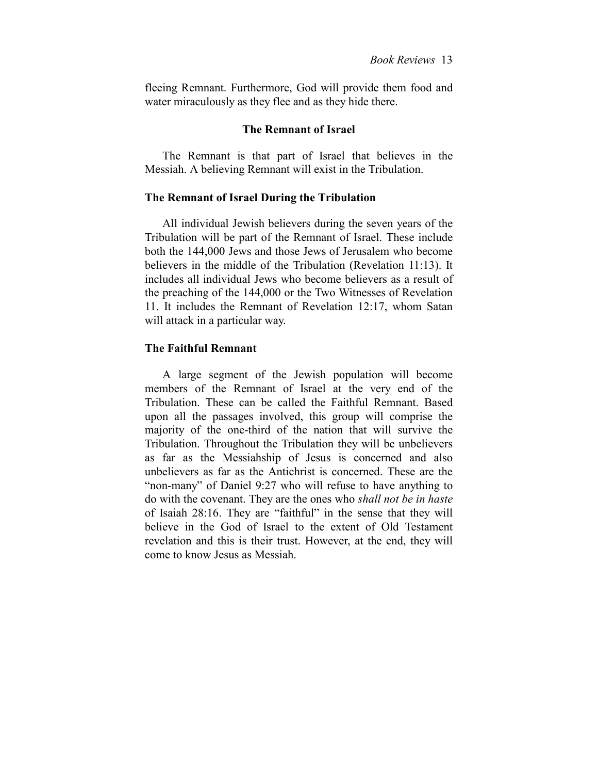fleeing Remnant. Furthermore, God will provide them food and water miraculously as they flee and as they hide there.

## **The Remnant of Israel**

The Remnant is that part of Israel that believes in the Messiah. A believing Remnant will exist in the Tribulation.

### **The Remnant of Israel During the Tribulation**

All individual Jewish believers during the seven years of the Tribulation will be part of the Remnant of Israel. These include both the 144,000 Jews and those Jews of Jerusalem who become believers in the middle of the Tribulation (Revelation 11:13). It includes all individual Jews who become believers as a result of the preaching of the 144,000 or the Two Witnesses of Revelation 11. It includes the Remnant of Revelation 12:17, whom Satan will attack in a particular way.

## **The Faithful Remnant**

A large segment of the Jewish population will become members of the Remnant of Israel at the very end of the Tribulation. These can be called the Faithful Remnant. Based upon all the passages involved, this group will comprise the majority of the one-third of the nation that will survive the Tribulation. Throughout the Tribulation they will be unbelievers as far as the Messiahship of Jesus is concerned and also unbelievers as far as the Antichrist is concerned. These are the "non-many" of Daniel 9:27 who will refuse to have anything to do with the covenant. They are the ones who *shall not be in haste* of Isaiah 28:16. They are "faithful" in the sense that they will believe in the God of Israel to the extent of Old Testament revelation and this is their trust. However, at the end, they will come to know Jesus as Messiah.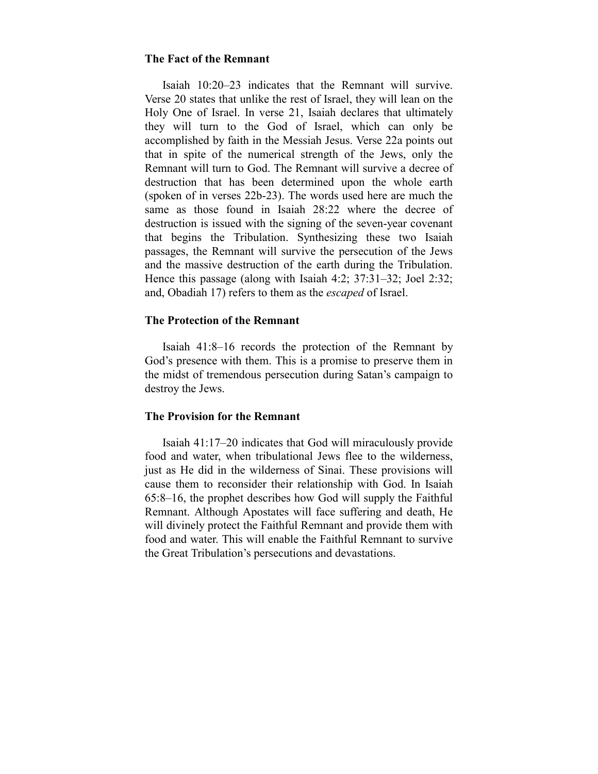## **The Fact of the Remnant**

Isaiah 10:20–23 indicates that the Remnant will survive. Verse 20 states that unlike the rest of Israel, they will lean on the Holy One of Israel. In verse 21, Isaiah declares that ultimately they will turn to the God of Israel, which can only be accomplished by faith in the Messiah Jesus. Verse 22a points out that in spite of the numerical strength of the Jews, only the Remnant will turn to God. The Remnant will survive a decree of destruction that has been determined upon the whole earth (spoken of in verses 22b-23). The words used here are much the same as those found in Isaiah 28:22 where the decree of destruction is issued with the signing of the seven-year covenant that begins the Tribulation. Synthesizing these two Isaiah passages, the Remnant will survive the persecution of the Jews and the massive destruction of the earth during the Tribulation. Hence this passage (along with Isaiah 4:2; 37:31–32; Joel 2:32; and, Obadiah 17) refers to them as the *escaped* of Israel.

## **The Protection of the Remnant**

Isaiah 41:8–16 records the protection of the Remnant by God's presence with them. This is a promise to preserve them in the midst of tremendous persecution during Satan's campaign to destroy the Jews.

## **The Provision for the Remnant**

Isaiah 41:17–20 indicates that God will miraculously provide food and water, when tribulational Jews flee to the wilderness, just as He did in the wilderness of Sinai. These provisions will cause them to reconsider their relationship with God. In Isaiah 65:8–16, the prophet describes how God will supply the Faithful Remnant. Although Apostates will face suffering and death, He will divinely protect the Faithful Remnant and provide them with food and water. This will enable the Faithful Remnant to survive the Great Tribulation's persecutions and devastations.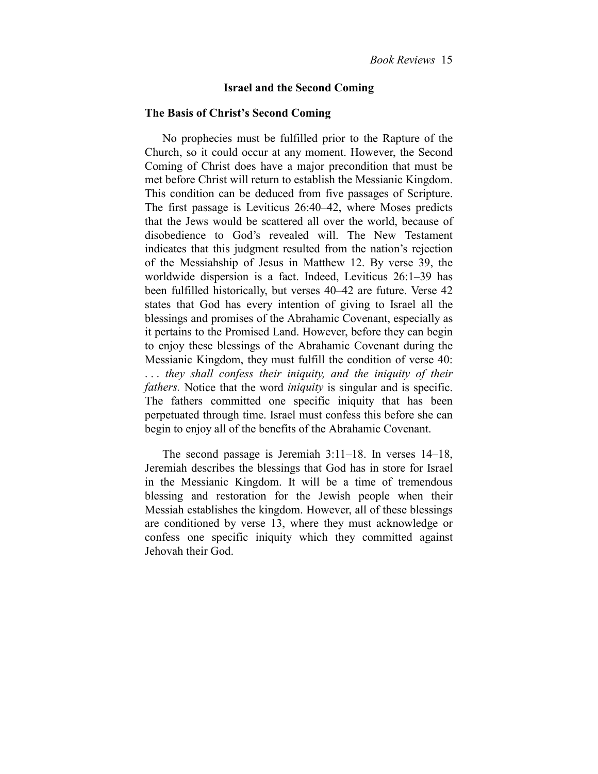## **Israel and the Second Coming**

### **The Basis of Christ's Second Coming**

No prophecies must be fulfilled prior to the Rapture of the Church, so it could occur at any moment. However, the Second Coming of Christ does have a major precondition that must be met before Christ will return to establish the Messianic Kingdom. This condition can be deduced from five passages of Scripture. The first passage is Leviticus 26:40–42, where Moses predicts that the Jews would be scattered all over the world, because of disobedience to God's revealed will. The New Testament indicates that this judgment resulted from the nation's rejection of the Messiahship of Jesus in Matthew 12. By verse 39, the worldwide dispersion is a fact. Indeed, Leviticus 26:1–39 has been fulfilled historically, but verses 40–42 are future. Verse 42 states that God has every intention of giving to Israel all the blessings and promises of the Abrahamic Covenant, especially as it pertains to the Promised Land. However, before they can begin to enjoy these blessings of the Abrahamic Covenant during the Messianic Kingdom, they must fulfill the condition of verse 40: . . . *they shall confess their iniquity, and the iniquity of their fathers.* Notice that the word *iniquity* is singular and is specific. The fathers committed one specific iniquity that has been perpetuated through time. Israel must confess this before she can begin to enjoy all of the benefits of the Abrahamic Covenant.

The second passage is Jeremiah 3:11–18. In verses 14–18, Jeremiah describes the blessings that God has in store for Israel in the Messianic Kingdom. It will be a time of tremendous blessing and restoration for the Jewish people when their Messiah establishes the kingdom. However, all of these blessings are conditioned by verse 13, where they must acknowledge or confess one specific iniquity which they committed against Jehovah their God.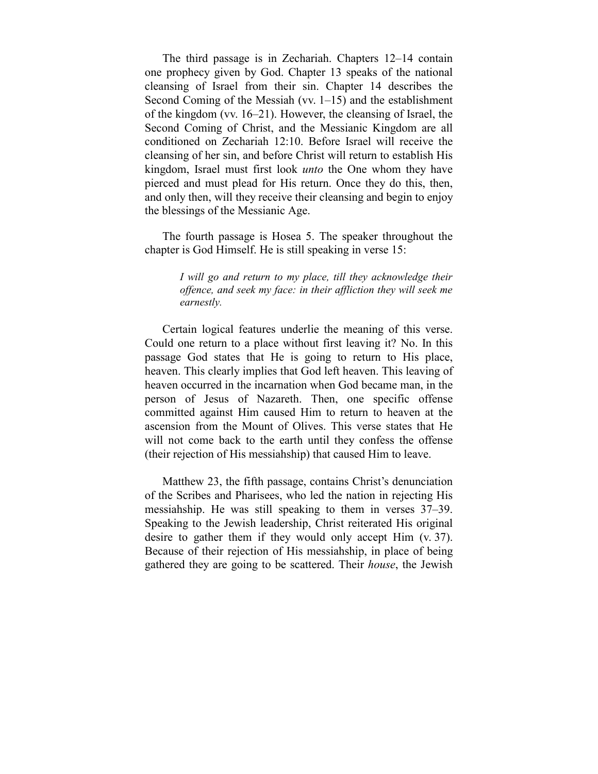The third passage is in Zechariah. Chapters 12–14 contain one prophecy given by God. Chapter 13 speaks of the national cleansing of Israel from their sin. Chapter 14 describes the Second Coming of the Messiah (vv. 1–15) and the establishment of the kingdom (vv. 16–21). However, the cleansing of Israel, the Second Coming of Christ, and the Messianic Kingdom are all conditioned on Zechariah 12:10. Before Israel will receive the cleansing of her sin, and before Christ will return to establish His kingdom, Israel must first look *unto* the One whom they have pierced and must plead for His return. Once they do this, then, and only then, will they receive their cleansing and begin to enjoy the blessings of the Messianic Age.

The fourth passage is Hosea 5. The speaker throughout the chapter is God Himself. He is still speaking in verse 15:

> *I will go and return to my place, till they acknowledge their offence, and seek my face: in their affliction they will seek me earnestly.*

Certain logical features underlie the meaning of this verse. Could one return to a place without first leaving it? No. In this passage God states that He is going to return to His place, heaven. This clearly implies that God left heaven. This leaving of heaven occurred in the incarnation when God became man, in the person of Jesus of Nazareth. Then, one specific offense committed against Him caused Him to return to heaven at the ascension from the Mount of Olives. This verse states that He will not come back to the earth until they confess the offense (their rejection of His messiahship) that caused Him to leave.

Matthew 23, the fifth passage, contains Christ's denunciation of the Scribes and Pharisees, who led the nation in rejecting His messiahship. He was still speaking to them in verses 37–39. Speaking to the Jewish leadership, Christ reiterated His original desire to gather them if they would only accept Him (v. 37). Because of their rejection of His messiahship, in place of being gathered they are going to be scattered. Their *house*, the Jewish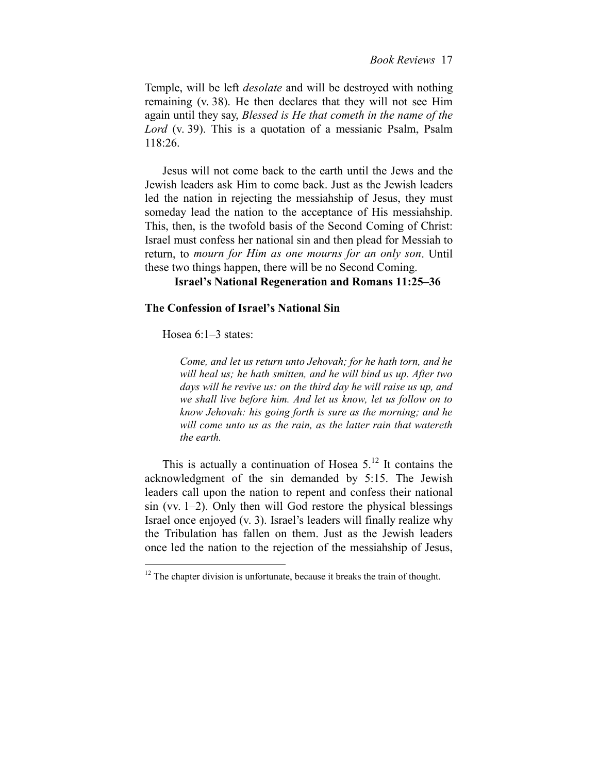Temple, will be left *desolate* and will be destroyed with nothing remaining (v. 38). He then declares that they will not see Him again until they say, *Blessed is He that cometh in the name of the Lord* (v. 39). This is a quotation of a messianic Psalm, Psalm 118:26.

Jesus will not come back to the earth until the Jews and the Jewish leaders ask Him to come back. Just as the Jewish leaders led the nation in rejecting the messiahship of Jesus, they must someday lead the nation to the acceptance of His messiahship. This, then, is the twofold basis of the Second Coming of Christ: Israel must confess her national sin and then plead for Messiah to return, to *mourn for Him as one mourns for an only son*. Until these two things happen, there will be no Second Coming.

## **Israel's National Regeneration and Romans 11:25–36**

## **The Confession of Israel's National Sin**

Hosea 6:1–3 states:

<u>.</u>

*Come, and let us return unto Jehovah; for he hath torn, and he will heal us; he hath smitten, and he will bind us up. After two days will he revive us: on the third day he will raise us up, and we shall live before him. And let us know, let us follow on to know Jehovah: his going forth is sure as the morning; and he will come unto us as the rain, as the latter rain that watereth the earth.* 

This is actually a continuation of Hosea  $5<sup>12</sup>$  It contains the acknowledgment of the sin demanded by 5:15. The Jewish leaders call upon the nation to repent and confess their national sin (vv. 1–2). Only then will God restore the physical blessings Israel once enjoyed (v. 3). Israel's leaders will finally realize why the Tribulation has fallen on them. Just as the Jewish leaders once led the nation to the rejection of the messiahship of Jesus,

 $12$  The chapter division is unfortunate, because it breaks the train of thought.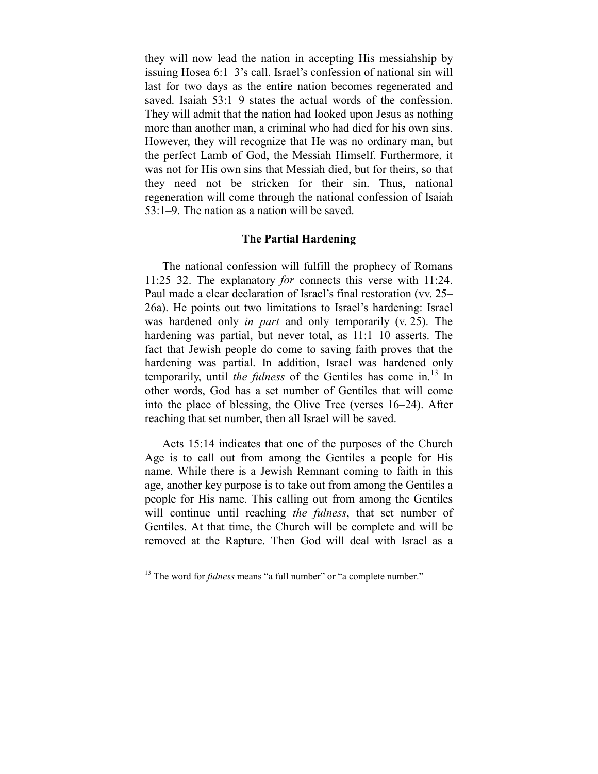they will now lead the nation in accepting His messiahship by issuing Hosea 6:1–3's call. Israel's confession of national sin will last for two days as the entire nation becomes regenerated and saved. Isaiah 53:1–9 states the actual words of the confession. They will admit that the nation had looked upon Jesus as nothing more than another man, a criminal who had died for his own sins. However, they will recognize that He was no ordinary man, but the perfect Lamb of God, the Messiah Himself. Furthermore, it was not for His own sins that Messiah died, but for theirs, so that they need not be stricken for their sin. Thus, national regeneration will come through the national confession of Isaiah 53:1–9. The nation as a nation will be saved.

## **The Partial Hardening**

The national confession will fulfill the prophecy of Romans 11:25–32. The explanatory *for* connects this verse with 11:24. Paul made a clear declaration of Israel's final restoration (vv. 25– 26a). He points out two limitations to Israel's hardening: Israel was hardened only *in part* and only temporarily (v. 25). The hardening was partial, but never total, as  $11:1-10$  asserts. The fact that Jewish people do come to saving faith proves that the hardening was partial. In addition, Israel was hardened only temporarily, until *the fulness* of the Gentiles has come in.<sup>13</sup> In other words, God has a set number of Gentiles that will come into the place of blessing, the Olive Tree (verses 16–24). After reaching that set number, then all Israel will be saved.

Acts 15:14 indicates that one of the purposes of the Church Age is to call out from among the Gentiles a people for His name. While there is a Jewish Remnant coming to faith in this age, another key purpose is to take out from among the Gentiles a people for His name. This calling out from among the Gentiles will continue until reaching *the fulness*, that set number of Gentiles. At that time, the Church will be complete and will be removed at the Rapture. Then God will deal with Israel as a

<u>.</u>

<sup>&</sup>lt;sup>13</sup> The word for *fulness* means "a full number" or "a complete number."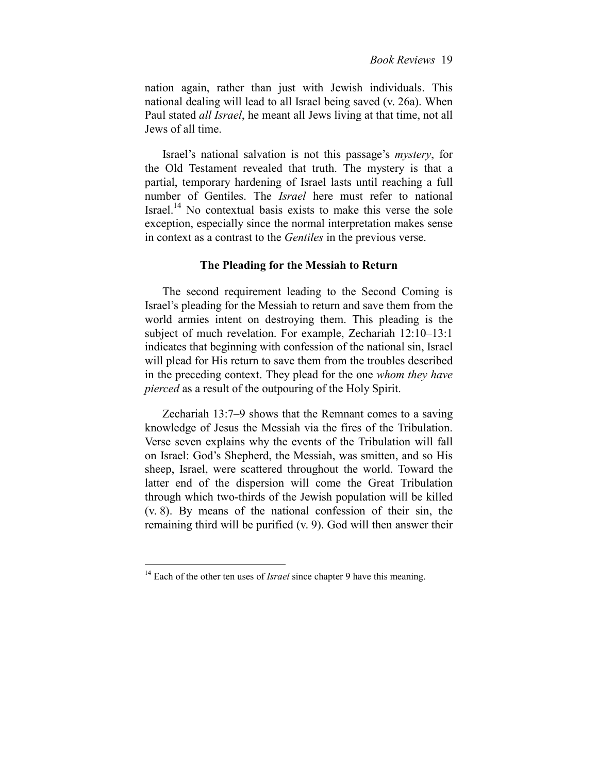nation again, rather than just with Jewish individuals. This national dealing will lead to all Israel being saved (v. 26a). When Paul stated *all Israel*, he meant all Jews living at that time, not all Jews of all time.

Israel's national salvation is not this passage's *mystery*, for the Old Testament revealed that truth. The mystery is that a partial, temporary hardening of Israel lasts until reaching a full number of Gentiles. The *Israel* here must refer to national Israel.14 No contextual basis exists to make this verse the sole exception, especially since the normal interpretation makes sense in context as a contrast to the *Gentiles* in the previous verse.

### **The Pleading for the Messiah to Return**

The second requirement leading to the Second Coming is Israel's pleading for the Messiah to return and save them from the world armies intent on destroying them. This pleading is the subject of much revelation. For example, Zechariah 12:10–13:1 indicates that beginning with confession of the national sin, Israel will plead for His return to save them from the troubles described in the preceding context. They plead for the one *whom they have pierced* as a result of the outpouring of the Holy Spirit.

Zechariah 13:7–9 shows that the Remnant comes to a saving knowledge of Jesus the Messiah via the fires of the Tribulation. Verse seven explains why the events of the Tribulation will fall on Israel: God's Shepherd, the Messiah, was smitten, and so His sheep, Israel, were scattered throughout the world. Toward the latter end of the dispersion will come the Great Tribulation through which two-thirds of the Jewish population will be killed (v. 8). By means of the national confession of their sin, the remaining third will be purified (v. 9). God will then answer their

<u>.</u>

<sup>&</sup>lt;sup>14</sup> Each of the other ten uses of *Israel* since chapter 9 have this meaning.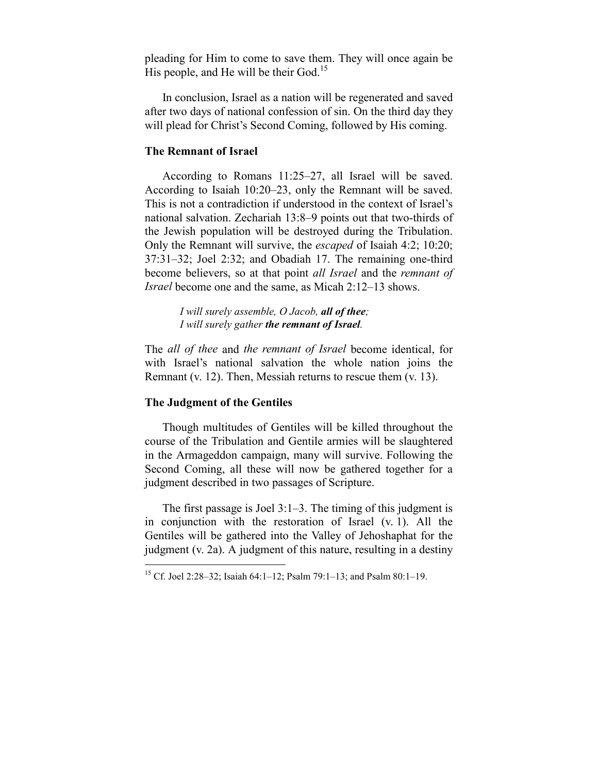pleading for Him to come to save them. They will once again be His people, and He will be their  $God.<sup>15</sup>$ 

In conclusion, Israel as a nation will be regenerated and saved after two days of national confession of sin. On the third day they will plead for Christ's Second Coming, followed by His coming.

## **The Remnant of Israel**

According to Romans 11:25–27, all Israel will be saved. According to Isaiah 10:20–23, only the Remnant will be saved. This is not a contradiction if understood in the context of Israel's national salvation. Zechariah 13:8–9 points out that two-thirds of the Jewish population will be destroyed during the Tribulation. Only the Remnant will survive, the *escaped* of Isaiah 4:2; 10:20; 37:31–32; Joel 2:32; and Obadiah 17. The remaining one-third become believers, so at that point *all Israel* and the *remnant of Israel* become one and the same, as Micah 2:12–13 shows.

> *I will surely assemble, O Jacob, all of thee; I will surely gather the remnant of Israel.*

The *all of thee* and *the remnant of Israel* become identical, for with Israel's national salvation the whole nation joins the Remnant (v. 12). Then, Messiah returns to rescue them (v. 13).

## **The Judgment of the Gentiles**

<u>.</u>

Though multitudes of Gentiles will be killed throughout the course of the Tribulation and Gentile armies will be slaughtered in the Armageddon campaign, many will survive. Following the Second Coming, all these will now be gathered together for a judgment described in two passages of Scripture.

The first passage is Joel 3:1–3. The timing of this judgment is in conjunction with the restoration of Israel (v. 1). All the Gentiles will be gathered into the Valley of Jehoshaphat for the judgment (v. 2a). A judgment of this nature, resulting in a destiny

<sup>&</sup>lt;sup>15</sup> Cf. Joel 2:28–32; Isaiah 64:1–12; Psalm 79:1–13; and Psalm 80:1–19.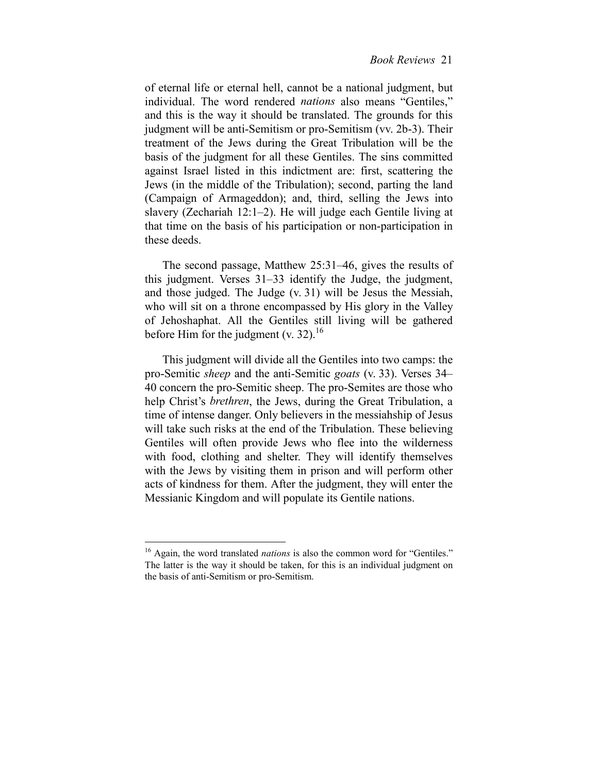of eternal life or eternal hell, cannot be a national judgment, but individual. The word rendered *nations* also means "Gentiles," and this is the way it should be translated. The grounds for this judgment will be anti-Semitism or pro-Semitism (vv. 2b-3). Their treatment of the Jews during the Great Tribulation will be the basis of the judgment for all these Gentiles. The sins committed against Israel listed in this indictment are: first, scattering the Jews (in the middle of the Tribulation); second, parting the land (Campaign of Armageddon); and, third, selling the Jews into slavery (Zechariah 12:1–2). He will judge each Gentile living at that time on the basis of his participation or non-participation in these deeds.

The second passage, Matthew 25:31–46, gives the results of this judgment. Verses 31–33 identify the Judge, the judgment, and those judged. The Judge (v. 31) will be Jesus the Messiah, who will sit on a throne encompassed by His glory in the Valley of Jehoshaphat. All the Gentiles still living will be gathered before Him for the judgment  $(v. 32)$ .<sup>16</sup>

This judgment will divide all the Gentiles into two camps: the pro-Semitic *sheep* and the anti-Semitic *goats* (v. 33). Verses 34– 40 concern the pro-Semitic sheep. The pro-Semites are those who help Christ's *brethren*, the Jews, during the Great Tribulation, a time of intense danger. Only believers in the messiahship of Jesus will take such risks at the end of the Tribulation. These believing Gentiles will often provide Jews who flee into the wilderness with food, clothing and shelter. They will identify themselves with the Jews by visiting them in prison and will perform other acts of kindness for them. After the judgment, they will enter the Messianic Kingdom and will populate its Gentile nations.

<sup>&</sup>lt;sup>16</sup> Again, the word translated *nations* is also the common word for "Gentiles." The latter is the way it should be taken, for this is an individual judgment on the basis of anti-Semitism or pro-Semitism.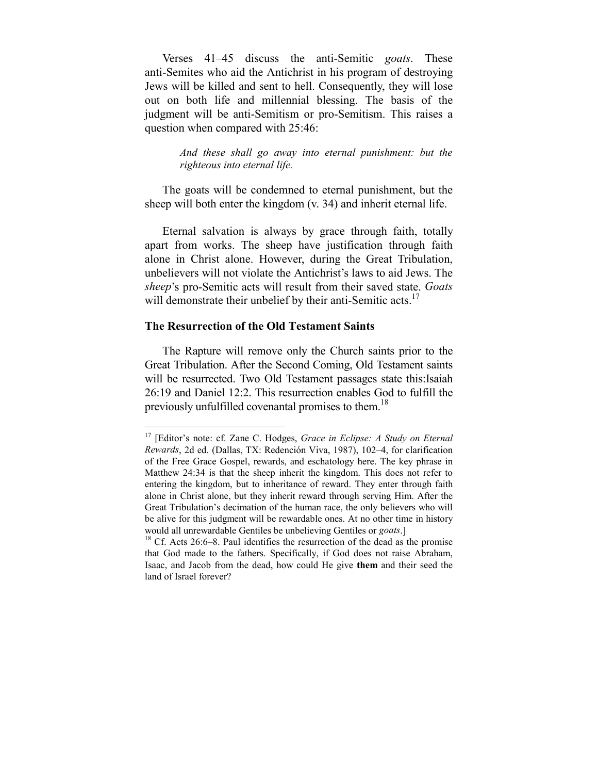Verses 41–45 discuss the anti-Semitic *goats*. These anti-Semites who aid the Antichrist in his program of destroying Jews will be killed and sent to hell. Consequently, they will lose out on both life and millennial blessing. The basis of the judgment will be anti-Semitism or pro-Semitism. This raises a question when compared with 25:46:

> *And these shall go away into eternal punishment: but the righteous into eternal life.*

The goats will be condemned to eternal punishment, but the sheep will both enter the kingdom (v. 34) and inherit eternal life.

Eternal salvation is always by grace through faith, totally apart from works. The sheep have justification through faith alone in Christ alone. However, during the Great Tribulation, unbelievers will not violate the Antichrist's laws to aid Jews. The *sheep*'s pro-Semitic acts will result from their saved state. *Goats* will demonstrate their unbelief by their anti-Semitic acts.<sup>17</sup>

## **The Resurrection of the Old Testament Saints**

1

The Rapture will remove only the Church saints prior to the Great Tribulation. After the Second Coming, Old Testament saints will be resurrected. Two Old Testament passages state this:Isaiah 26:19 and Daniel 12:2. This resurrection enables God to fulfill the previously unfulfilled covenantal promises to them.<sup>18</sup>

<sup>&</sup>lt;sup>17</sup> [Editor's note: cf. Zane C. Hodges, *Grace in Eclipse: A Study on Eternal Rewards*, 2d ed. (Dallas, TX: Redención Viva, 1987), 102–4, for clarification of the Free Grace Gospel, rewards, and eschatology here. The key phrase in Matthew 24:34 is that the sheep inherit the kingdom. This does not refer to entering the kingdom, but to inheritance of reward. They enter through faith alone in Christ alone, but they inherit reward through serving Him. After the Great Tribulation's decimation of the human race, the only believers who will be alive for this judgment will be rewardable ones. At no other time in history would all unrewardable Gentiles be unbelieving Gentiles or *goats*.]<br><sup>18</sup> Cf. Acts 26:6–8. Paul identifies the resurrection of the dead as the promise

that God made to the fathers. Specifically, if God does not raise Abraham, Isaac, and Jacob from the dead, how could He give **them** and their seed the land of Israel forever?